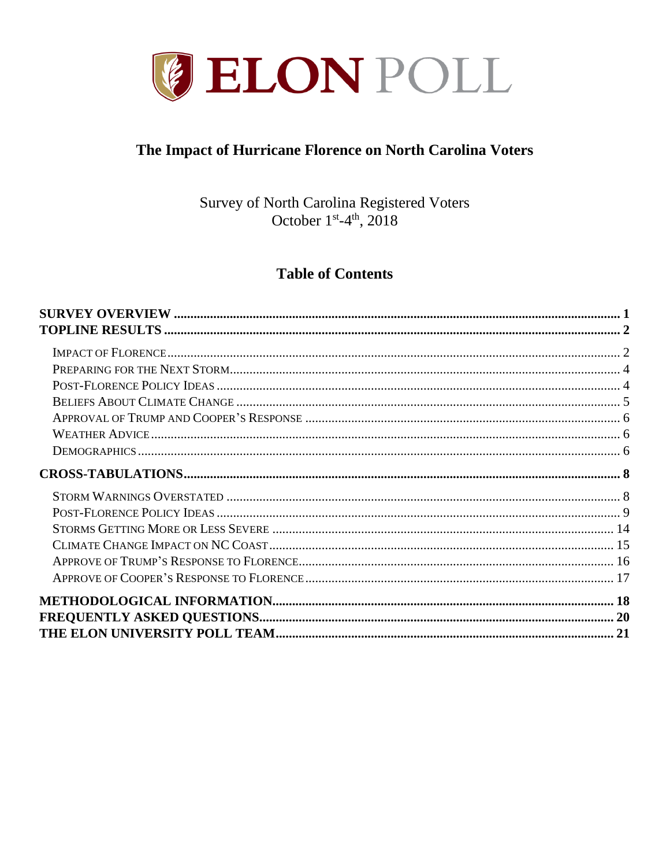

# The Impact of Hurricane Florence on North Carolina Voters

Survey of North Carolina Registered Voters October 1<sup>st</sup>-4<sup>th</sup>, 2018

# **Table of Contents**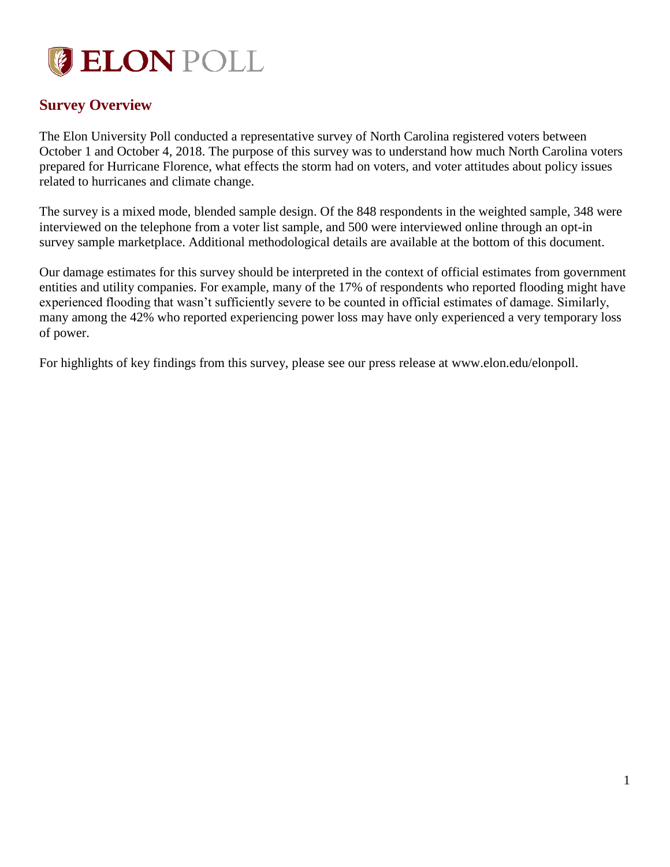

# <span id="page-1-0"></span>**Survey Overview**

The Elon University Poll conducted a representative survey of North Carolina registered voters between October 1 and October 4, 2018. The purpose of this survey was to understand how much North Carolina voters prepared for Hurricane Florence, what effects the storm had on voters, and voter attitudes about policy issues related to hurricanes and climate change.

The survey is a mixed mode, blended sample design. Of the 848 respondents in the weighted sample, 348 were interviewed on the telephone from a voter list sample, and 500 were interviewed online through an opt-in survey sample marketplace. Additional methodological details are available at the bottom of this document.

Our damage estimates for this survey should be interpreted in the context of official estimates from government entities and utility companies. For example, many of the 17% of respondents who reported flooding might have experienced flooding that wasn't sufficiently severe to be counted in official estimates of damage. Similarly, many among the 42% who reported experiencing power loss may have only experienced a very temporary loss of power.

For highlights of key findings from this survey, please see our press release at www.elon.edu/elonpoll.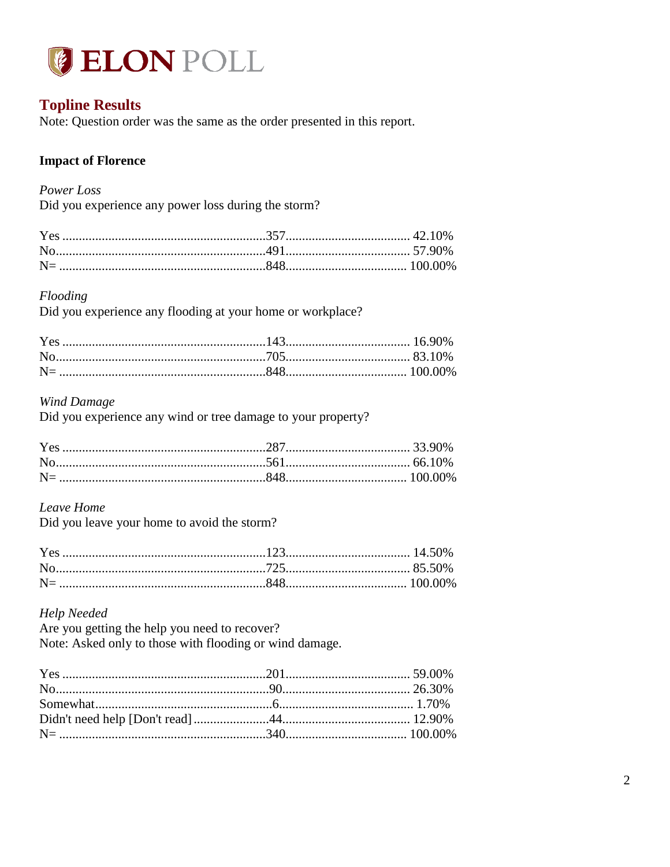

# <span id="page-2-0"></span>**Topline Results**

Note: Question order was the same as the order presented in this report.

## <span id="page-2-1"></span>**Impact of Florence**

#### Power Loss

Did you experience any power loss during the storm?

#### Flooding

Did you experience any flooding at your home or workplace?

#### **Wind Damage**

Did you experience any wind or tree damage to your property?

## Leave Home

Did you leave your home to avoid the storm?

#### **Help Needed**

Are you getting the help you need to recover? Note: Asked only to those with flooding or wind damage.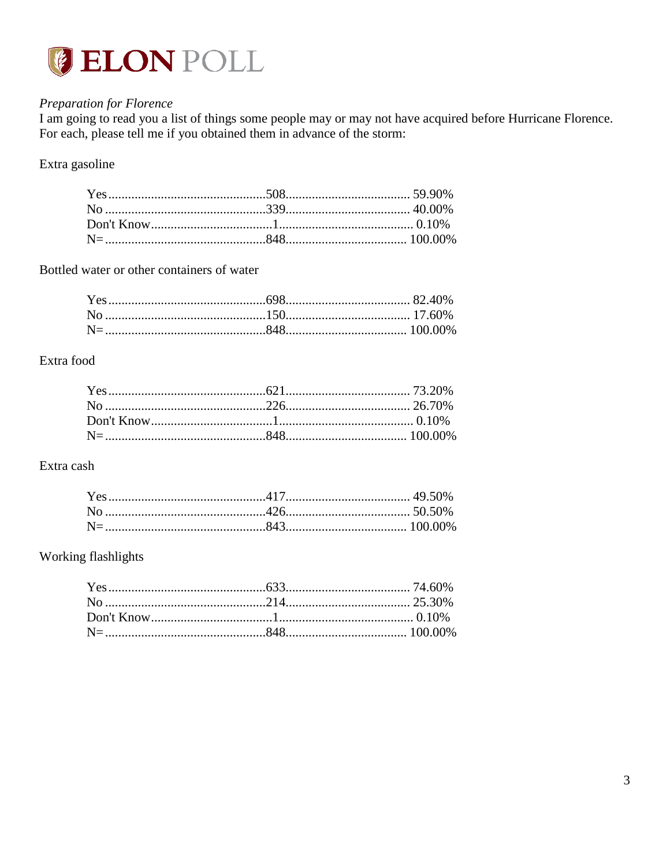

# Preparation for Florence

I am going to read you a list of things some people may or may not have acquired before Hurricane Florence. For each, please tell me if you obtained them in advance of the storm:

### Extra gasoline

Bottled water or other containers of water

### Extra food

## Extra cash

### Working flashlights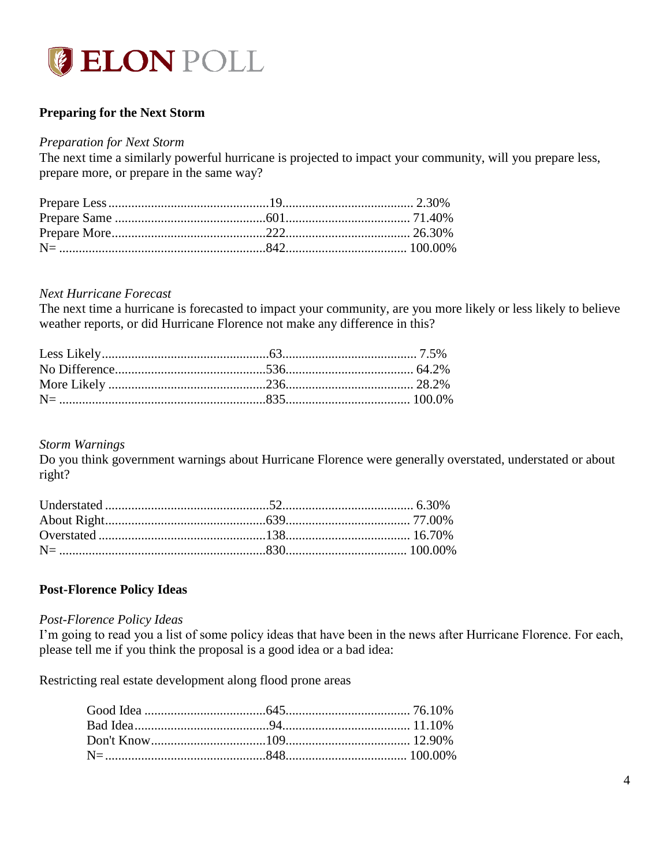

## <span id="page-4-0"></span>**Preparing for the Next Storm**

#### *Preparation for Next Storm*

The next time a similarly powerful hurricane is projected to impact your community, will you prepare less, prepare more, or prepare in the same way?

#### *Next Hurricane Forecast*

The next time a hurricane is forecasted to impact your community, are you more likely or less likely to believe weather reports, or did Hurricane Florence not make any difference in this?

#### *Storm Warnings*

Do you think government warnings about Hurricane Florence were generally overstated, understated or about right?

#### <span id="page-4-1"></span>**Post-Florence Policy Ideas**

#### *Post-Florence Policy Ideas*

I'm going to read you a list of some policy ideas that have been in the news after Hurricane Florence. For each, please tell me if you think the proposal is a good idea or a bad idea:

Restricting real estate development along flood prone areas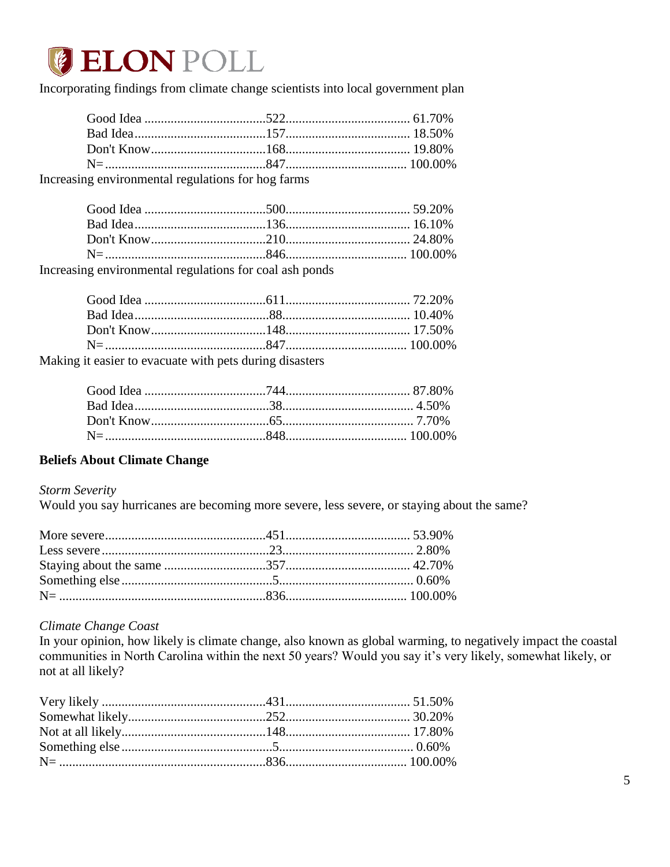

Incorporating findings from climate change scientists into local government plan

| Increasing environmental regulations for hog farms |  |
|----------------------------------------------------|--|

Increasing environmental regulations for coal ash ponds

| <b><i>a</i></b> it easier to evacuate with nets during disasters |  |
|------------------------------------------------------------------|--|

Making it easier to evacuate with pets during disasters

#### <span id="page-5-0"></span>**Beliefs About Climate Change**

#### **Storm Severity**

Would you say hurricanes are becoming more severe, less severe, or staying about the same?

#### Climate Change Coast

In your opinion, how likely is climate change, also known as global warming, to negatively impact the coastal communities in North Carolina within the next 50 years? Would you say it's very likely, somewhat likely, or not at all likely?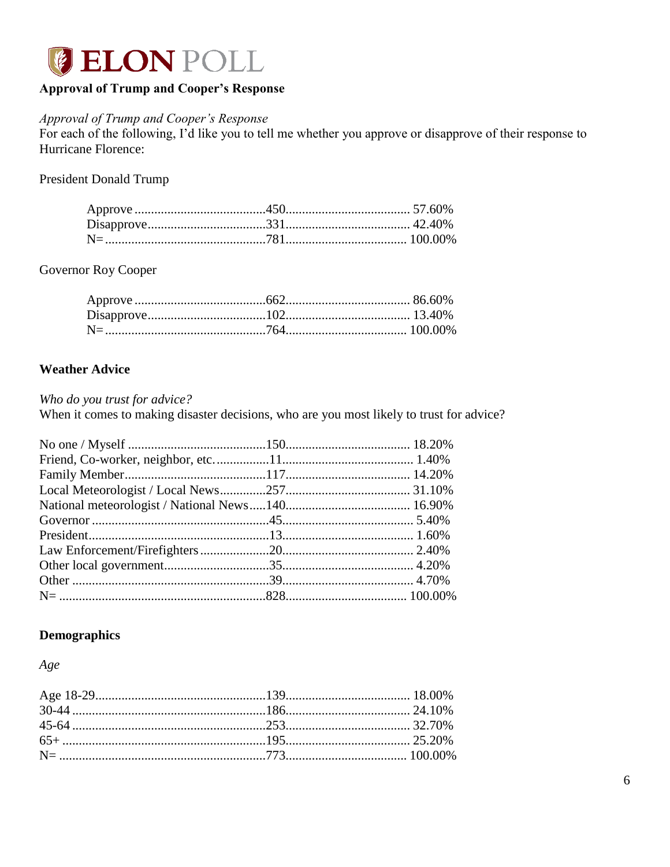

# <span id="page-6-0"></span>**Approval of Trump and Cooper's Response**

#### Approval of Trump and Cooper's Response

For each of the following, I'd like you to tell me whether you approve or disapprove of their response to Hurricane Florence:

**President Donald Trump** 

Governor Roy Cooper

#### <span id="page-6-1"></span>**Weather Advice**

Who do you trust for advice?

When it comes to making disaster decisions, who are you most likely to trust for advice?

### <span id="page-6-2"></span>**Demographics**

Age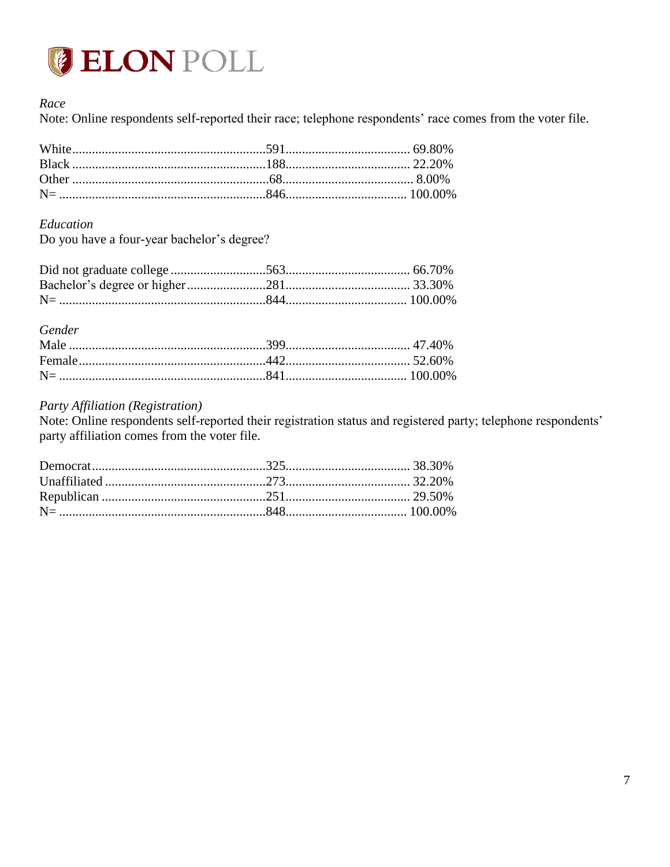

### Race

Note: Online respondents self-reported their race; telephone respondents' race comes from the voter file.

#### Education

Do you have a four-year bachelor's degree?

#### Gender

#### Party Affiliation (Registration)

Note: Online respondents self-reported their registration status and registered party; telephone respondents' party affiliation comes from the voter file.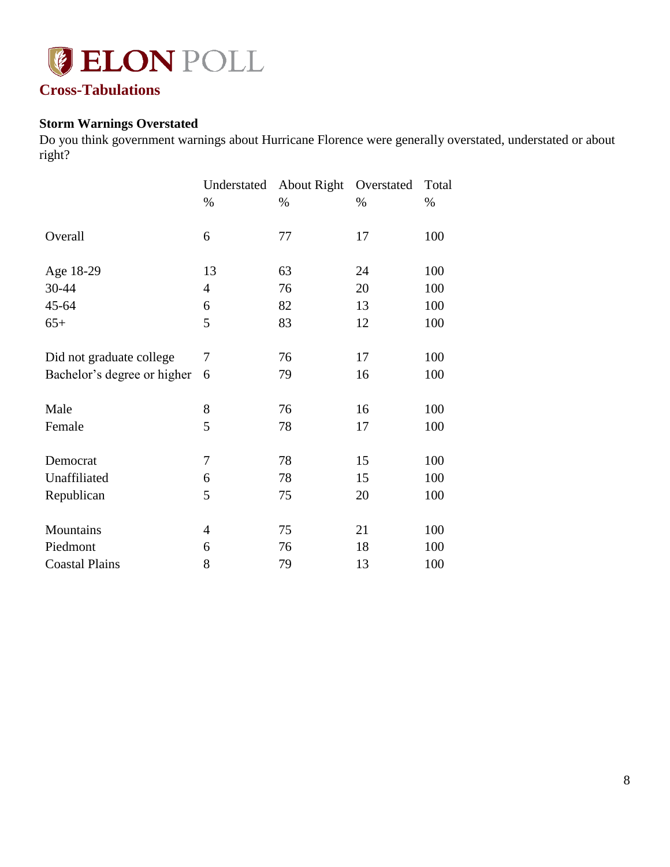

# <span id="page-8-0"></span>**Cross-Tabulations**

# <span id="page-8-1"></span>**Storm Warnings Overstated**

Do you think government warnings about Hurricane Florence were generally overstated, understated or about right?

|                             | Understated | About Right | Overstated | Total |
|-----------------------------|-------------|-------------|------------|-------|
|                             | %           | %           | %          | %     |
| Overall                     | 6           | 77          | 17         | 100   |
| Age 18-29                   | 13          | 63          | 24         | 100   |
| 30-44                       | 4           | 76          | 20         | 100   |
| 45-64                       | 6           | 82          | 13         | 100   |
| $65+$                       | 5           | 83          | 12         | 100   |
| Did not graduate college    | 7           | 76          | 17         | 100   |
| Bachelor's degree or higher | 6           | 79          | 16         | 100   |
| Male                        | 8           | 76          | 16         | 100   |
| Female                      | 5           | 78          | 17         | 100   |
| Democrat                    | 7           | 78          | 15         | 100   |
| Unaffiliated                | 6           | 78          | 15         | 100   |
| Republican                  | 5           | 75          | 20         | 100   |
| Mountains                   | 4           | 75          | 21         | 100   |
| Piedmont                    | 6           | 76          | 18         | 100   |
| <b>Coastal Plains</b>       | 8           | 79          | 13         | 100   |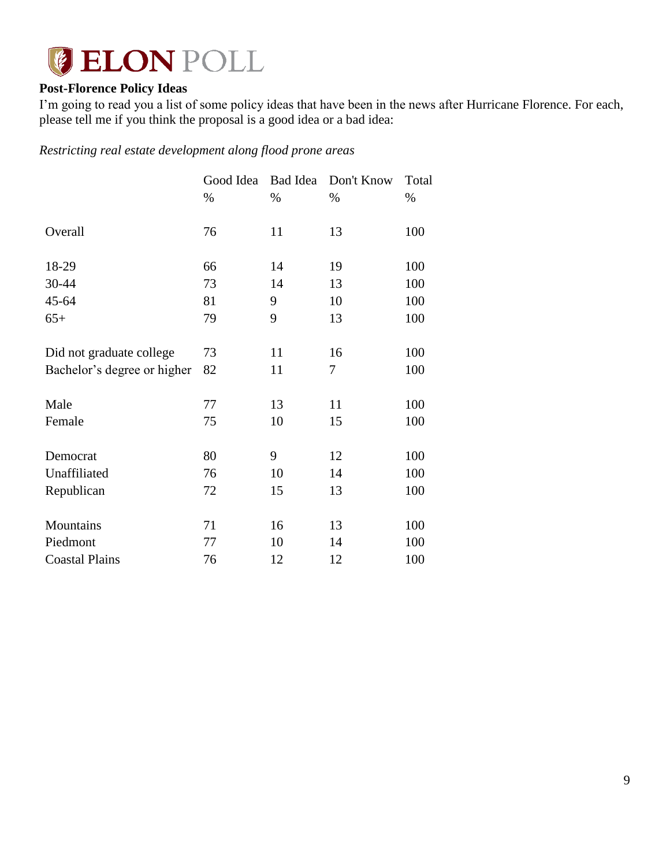

# <span id="page-9-0"></span>**Post-Florence Policy Ideas**

I'm going to read you a list of some policy ideas that have been in the news after Hurricane Florence. For each, please tell me if you think the proposal is a good idea or a bad idea:

*Restricting real estate development along flood prone areas*

|                             | Good Idea | <b>Bad Idea</b> | Don't Know | Total |
|-----------------------------|-----------|-----------------|------------|-------|
|                             | %         | %               | %          | %     |
| Overall                     | 76        | 11              | 13         | 100   |
| 18-29                       | 66        | 14              | 19         | 100   |
| 30-44                       | 73        | 14              | 13         | 100   |
| 45-64                       | 81        | 9               | 10         | 100   |
| $65+$                       | 79        | 9               | 13         | 100   |
| Did not graduate college    | 73        | 11              | 16         | 100   |
| Bachelor's degree or higher | 82        | 11              | 7          | 100   |
| Male                        | 77        | 13              | 11         | 100   |
| Female                      | 75        | 10              | 15         | 100   |
| Democrat                    | 80        | 9               | 12         | 100   |
| Unaffiliated                | 76        | 10              | 14         | 100   |
| Republican                  | 72        | 15              | 13         | 100   |
| Mountains                   | 71        | 16              | 13         | 100   |
| Piedmont                    | 77        | 10              | 14         | 100   |
| <b>Coastal Plains</b>       | 76        | 12              | 12         | 100   |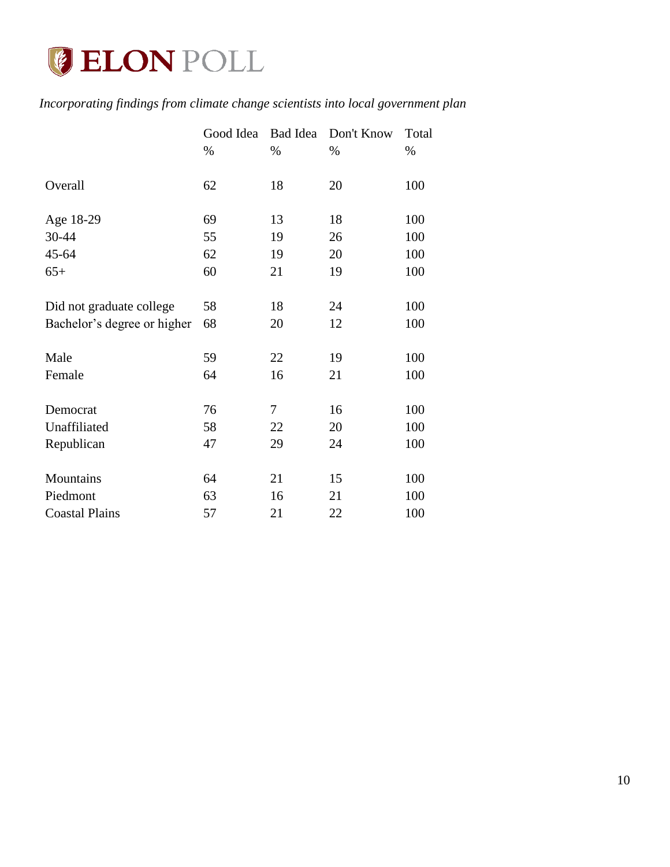

# *Incorporating findings from climate change scientists into local government plan*

|                             | Good Idea | <b>Bad Idea</b> | Don't Know | Total |
|-----------------------------|-----------|-----------------|------------|-------|
|                             | %         | %               | %          | %     |
| Overall                     | 62        | 18              | 20         | 100   |
| Age 18-29                   | 69        | 13              | 18         | 100   |
| 30-44                       | 55        | 19              | 26         | 100   |
| 45-64                       | 62        | 19              | 20         | 100   |
| $65+$                       | 60        | 21              | 19         | 100   |
| Did not graduate college    | 58        | 18              | 24         | 100   |
| Bachelor's degree or higher | 68        | 20              | 12         | 100   |
| Male                        | 59        | 22              | 19         | 100   |
| Female                      | 64        | 16              | 21         | 100   |
| Democrat                    | 76        | $\tau$          | 16         | 100   |
| Unaffiliated                | 58        | 22              | 20         | 100   |
| Republican                  | 47        | 29              | 24         | 100   |
| Mountains                   | 64        | 21              | 15         | 100   |
| Piedmont                    | 63        | 16              | 21         | 100   |
| <b>Coastal Plains</b>       | 57        | 21              | 22         | 100   |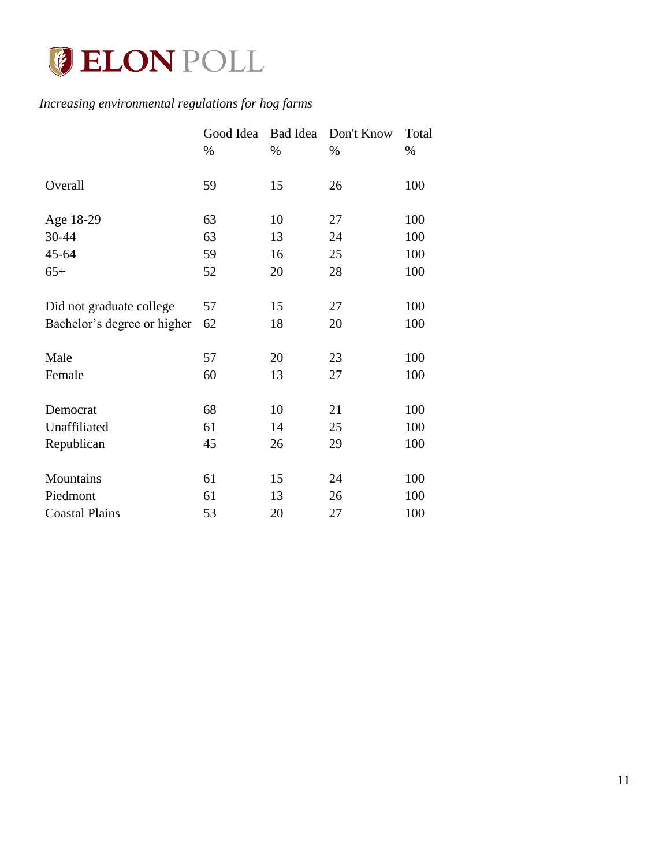

# *Increasing environmental regulations for hog farms*

|                             | Good Idea | Bad Idea | Don't Know | Total |
|-----------------------------|-----------|----------|------------|-------|
|                             | $\%$      | %        | $\%$       | %     |
| Overall                     | 59        | 15       | 26         | 100   |
| Age 18-29                   | 63        | 10       | 27         | 100   |
| 30-44                       | 63        | 13       | 24         | 100   |
| 45-64                       | 59        | 16       | 25         | 100   |
| $65+$                       | 52        | 20       | 28         | 100   |
| Did not graduate college    | 57        | 15       | 27         | 100   |
| Bachelor's degree or higher | 62        | 18       | 20         | 100   |
| Male                        | 57        | 20       | 23         | 100   |
| Female                      | 60        | 13       | 27         | 100   |
| Democrat                    | 68        | 10       | 21         | 100   |
| Unaffiliated                | 61        | 14       | 25         | 100   |
| Republican                  | 45        | 26       | 29         | 100   |
| Mountains                   | 61        | 15       | 24         | 100   |
| Piedmont                    | 61        | 13       | 26         | 100   |
| <b>Coastal Plains</b>       | 53        | 20       | 27         | 100   |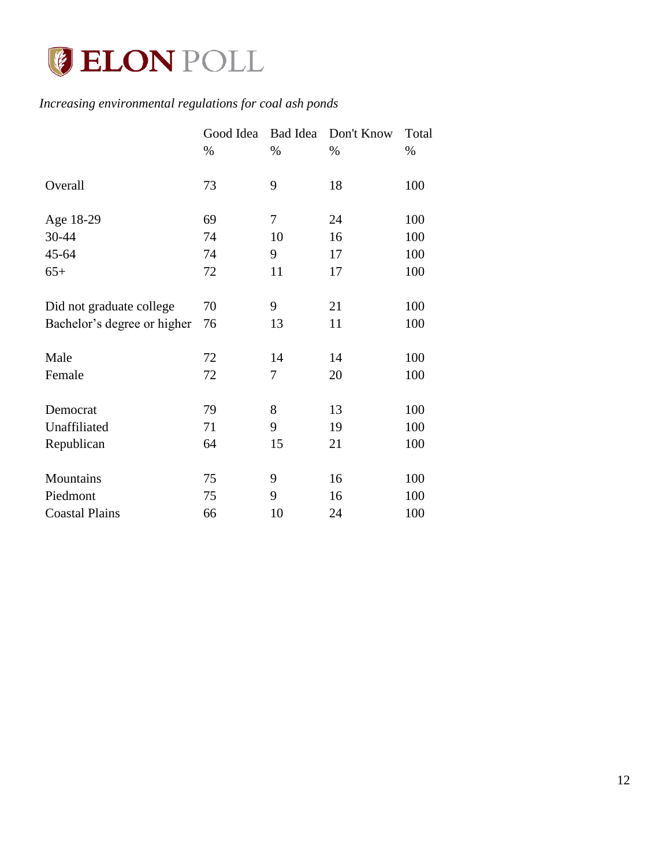

# *Increasing environmental regulations for coal ash ponds*

|                             | Good Idea | Bad Idea | Don't Know | Total |
|-----------------------------|-----------|----------|------------|-------|
|                             | $\%$      | $\%$     | $\%$       | %     |
| Overall                     | 73        | 9        | 18         | 100   |
| Age 18-29                   | 69        | $\tau$   | 24         | 100   |
| 30-44                       | 74        | 10       | 16         | 100   |
| 45-64                       | 74        | 9        | 17         | 100   |
| $65+$                       | 72        | 11       | 17         | 100   |
| Did not graduate college    | 70        | 9        | 21         | 100   |
| Bachelor's degree or higher | 76        | 13       | 11         | 100   |
| Male                        | 72        | 14       | 14         | 100   |
| Female                      | 72        | 7        | 20         | 100   |
| Democrat                    | 79        | 8        | 13         | 100   |
| Unaffiliated                | 71        | 9        | 19         | 100   |
| Republican                  | 64        | 15       | 21         | 100   |
| Mountains                   | 75        | 9        | 16         | 100   |
| Piedmont                    | 75        | 9        | 16         | 100   |
| <b>Coastal Plains</b>       | 66        | 10       | 24         | 100   |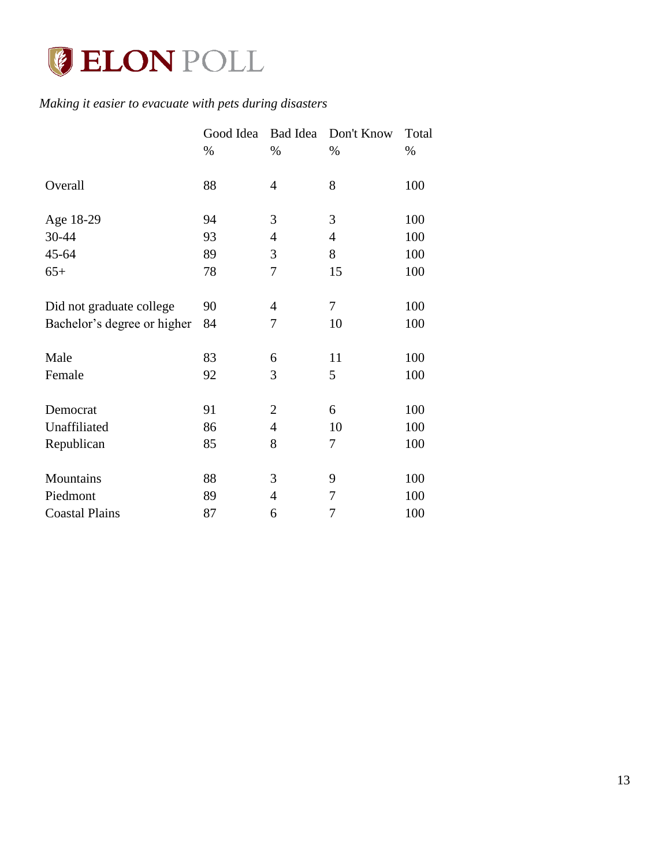

# *Making it easier to evacuate with pets during disasters*

|                             | Good Idea | Bad Idea       | Don't Know     | Total |
|-----------------------------|-----------|----------------|----------------|-------|
|                             | %         | %              | %              | %     |
| Overall                     | 88        | 4              | 8              | 100   |
| Age 18-29                   | 94        | 3              | 3              | 100   |
| 30-44                       | 93        | $\overline{4}$ | $\overline{4}$ | 100   |
| 45-64                       | 89        | 3              | 8              | 100   |
| $65+$                       | 78        | 7              | 15             | 100   |
| Did not graduate college    | 90        | 4              | 7              | 100   |
| Bachelor's degree or higher | 84        | 7              | 10             | 100   |
| Male                        | 83        | 6              | 11             | 100   |
| Female                      | 92        | 3              | 5              | 100   |
| Democrat                    | 91        | $\overline{2}$ | 6              | 100   |
| Unaffiliated                | 86        | $\overline{4}$ | 10             | 100   |
| Republican                  | 85        | 8              | 7              | 100   |
| Mountains                   | 88        | 3              | 9              | 100   |
| Piedmont                    | 89        | $\overline{4}$ | 7              | 100   |
| <b>Coastal Plains</b>       | 87        | 6              | 7              | 100   |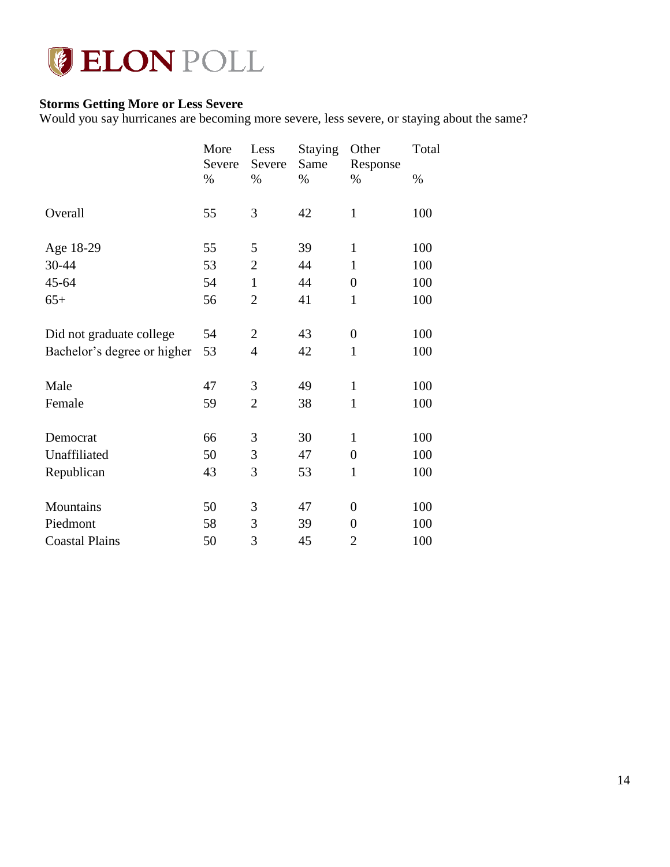

# <span id="page-14-0"></span>**Storms Getting More or Less Severe**

Would you say hurricanes are becoming more severe, less severe, or staying about the same?

|                             | More<br>Severe | Less<br>Severe | <b>Staying</b><br>Same | Other<br>Response | Total |
|-----------------------------|----------------|----------------|------------------------|-------------------|-------|
|                             | %              | $\%$           | $\%$                   | $\%$              | $\%$  |
| Overall                     | 55             | 3              | 42                     | $\mathbf{1}$      | 100   |
| Age 18-29                   | 55             | 5              | 39                     | $\mathbf{1}$      | 100   |
| 30-44                       | 53             | $\overline{2}$ | 44                     | $\mathbf{1}$      | 100   |
| 45-64                       | 54             | $\mathbf{1}$   | 44                     | $\overline{0}$    | 100   |
| $65+$                       | 56             | $\overline{2}$ | 41                     | $\mathbf{1}$      | 100   |
| Did not graduate college    | 54             | $\overline{2}$ | 43                     | $\boldsymbol{0}$  | 100   |
| Bachelor's degree or higher | 53             | 4              | 42                     | $\mathbf{1}$      | 100   |
| Male                        | 47             | 3              | 49                     | $\mathbf{1}$      | 100   |
| Female                      | 59             | $\overline{2}$ | 38                     | $\mathbf{1}$      | 100   |
| Democrat                    | 66             | 3              | 30                     | $\mathbf{1}$      | 100   |
| Unaffiliated                | 50             | 3              | 47                     | $\boldsymbol{0}$  | 100   |
| Republican                  | 43             | 3              | 53                     | $\mathbf{1}$      | 100   |
| Mountains                   | 50             | 3              | 47                     | $\boldsymbol{0}$  | 100   |
| Piedmont                    | 58             | 3              | 39                     | $\overline{0}$    | 100   |
| <b>Coastal Plains</b>       | 50             | 3              | 45                     | $\overline{2}$    | 100   |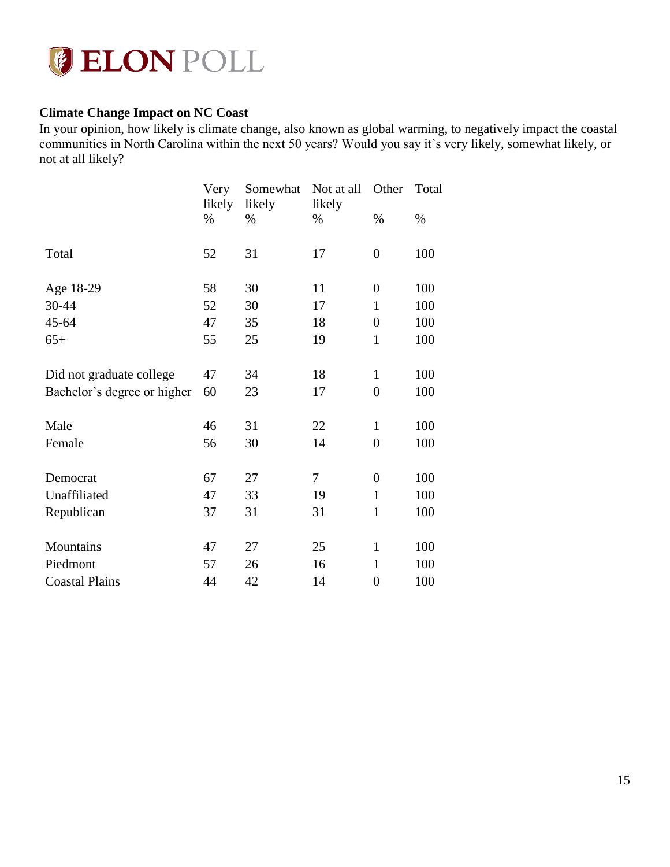

## <span id="page-15-0"></span>**Climate Change Impact on NC Coast**

In your opinion, how likely is climate change, also known as global warming, to negatively impact the coastal communities in North Carolina within the next 50 years? Would you say it's very likely, somewhat likely, or not at all likely?

|                             | Very<br>likely | Somewhat<br>likely | Not at all<br>likely | Other            | Total |
|-----------------------------|----------------|--------------------|----------------------|------------------|-------|
|                             | $\%$           | $\%$               | $\%$                 | $\%$             | $\%$  |
| Total                       | 52             | 31                 | 17                   | $\boldsymbol{0}$ | 100   |
| Age 18-29                   | 58             | 30                 | 11                   | $\boldsymbol{0}$ | 100   |
| 30-44                       | 52             | 30                 | 17                   | $\mathbf{1}$     | 100   |
| 45-64                       | 47             | 35                 | 18                   | $\overline{0}$   | 100   |
| $65+$                       | 55             | 25                 | 19                   | $\mathbf{1}$     | 100   |
| Did not graduate college    | 47             | 34                 | 18                   | $\mathbf{1}$     | 100   |
| Bachelor's degree or higher | 60             | 23                 | 17                   | $\overline{0}$   | 100   |
| Male                        | 46             | 31                 | 22                   | $\mathbf{1}$     | 100   |
| Female                      | 56             | 30                 | 14                   | $\overline{0}$   | 100   |
| Democrat                    | 67             | 27                 | $\tau$               | $\boldsymbol{0}$ | 100   |
| Unaffiliated                | 47             | 33                 | 19                   | $\mathbf{1}$     | 100   |
| Republican                  | 37             | 31                 | 31                   | $\mathbf{1}$     | 100   |
| Mountains                   | 47             | 27                 | 25                   | $\mathbf{1}$     | 100   |
| Piedmont                    | 57             | 26                 | 16                   | $\mathbf{1}$     | 100   |
| <b>Coastal Plains</b>       | 44             | 42                 | 14                   | $\boldsymbol{0}$ | 100   |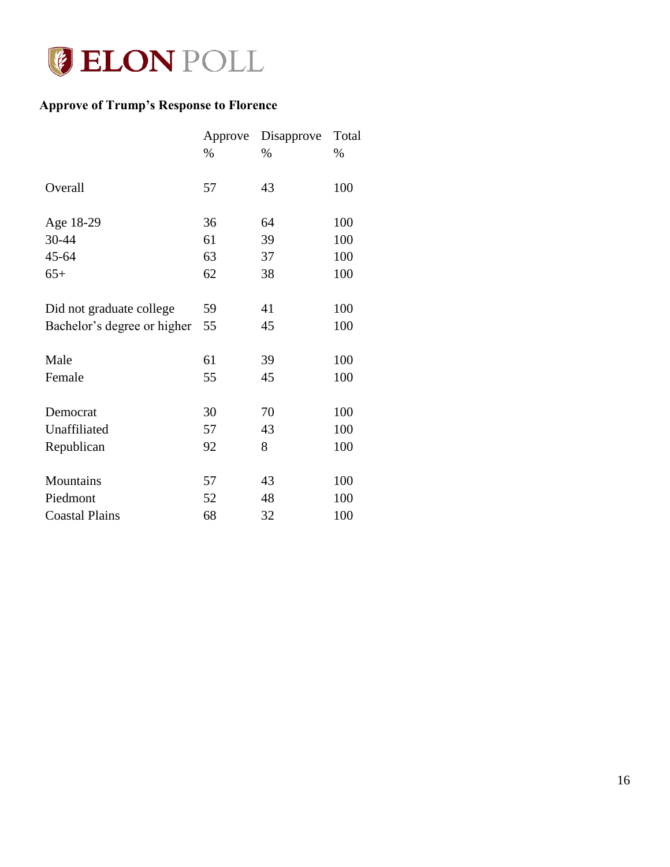

# <span id="page-16-0"></span>**Approve of Trump's Response to Florence**

|                             | Approve | Disapprove | Total |
|-----------------------------|---------|------------|-------|
|                             | $\%$    | $\%$       | $\%$  |
| Overall                     | 57      | 43         | 100   |
| Age 18-29                   | 36      | 64         | 100   |
| 30-44                       | 61      | 39         | 100   |
| 45-64                       | 63      | 37         | 100   |
| $65+$                       | 62      | 38         | 100   |
| Did not graduate college    | 59      | 41         | 100   |
| Bachelor's degree or higher | 55      | 45         | 100   |
| Male                        | 61      | 39         | 100   |
| Female                      | 55      | 45         | 100   |
| Democrat                    | 30      | 70         | 100   |
| Unaffiliated                | 57      | 43         | 100   |
| Republican                  | 92      | 8          | 100   |
| Mountains                   | 57      | 43         | 100   |
| Piedmont                    | 52      | 48         | 100   |
| <b>Coastal Plains</b>       | 68      | 32         | 100   |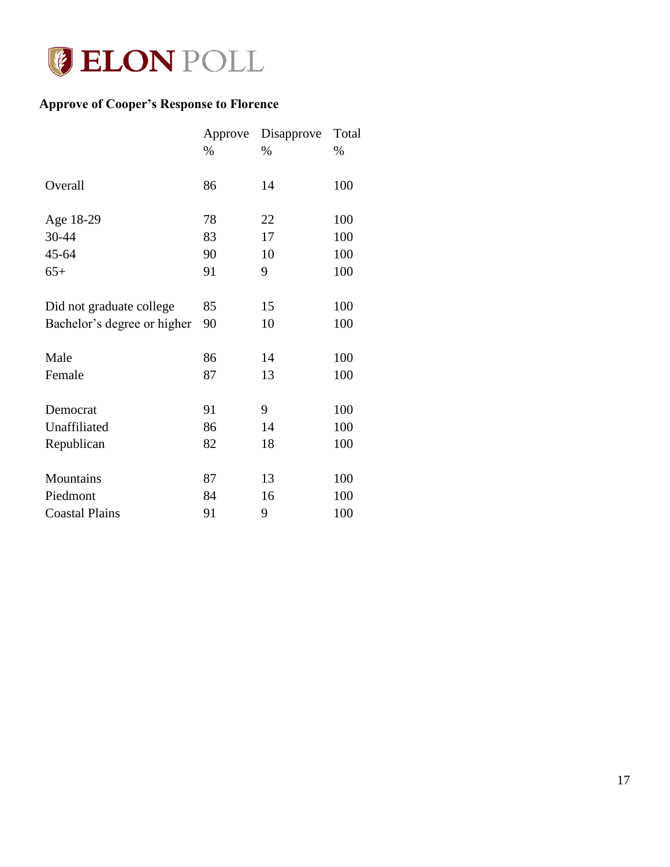

# <span id="page-17-0"></span>**Approve of Cooper's Response to Florence**

|                             | Approve | Disapprove | Total |
|-----------------------------|---------|------------|-------|
|                             | $\%$    | $\%$       | %     |
| Overall                     | 86      | 14         | 100   |
| Age 18-29                   | 78      | 22         | 100   |
| 30-44                       | 83      | 17         | 100   |
| 45-64                       | 90      | 10         | 100   |
| $65+$                       | 91      | 9          | 100   |
| Did not graduate college    | 85      | 15         | 100   |
| Bachelor's degree or higher | 90      | 10         | 100   |
| Male                        | 86      | 14         | 100   |
| Female                      | 87      | 13         | 100   |
| Democrat                    | 91      | 9          | 100   |
| Unaffiliated                | 86      | 14         | 100   |
| Republican                  | 82      | 18         | 100   |
| Mountains                   | 87      | 13         | 100   |
| Piedmont                    | 84      | 16         | 100   |
| <b>Coastal Plains</b>       | 91      | 9          | 100   |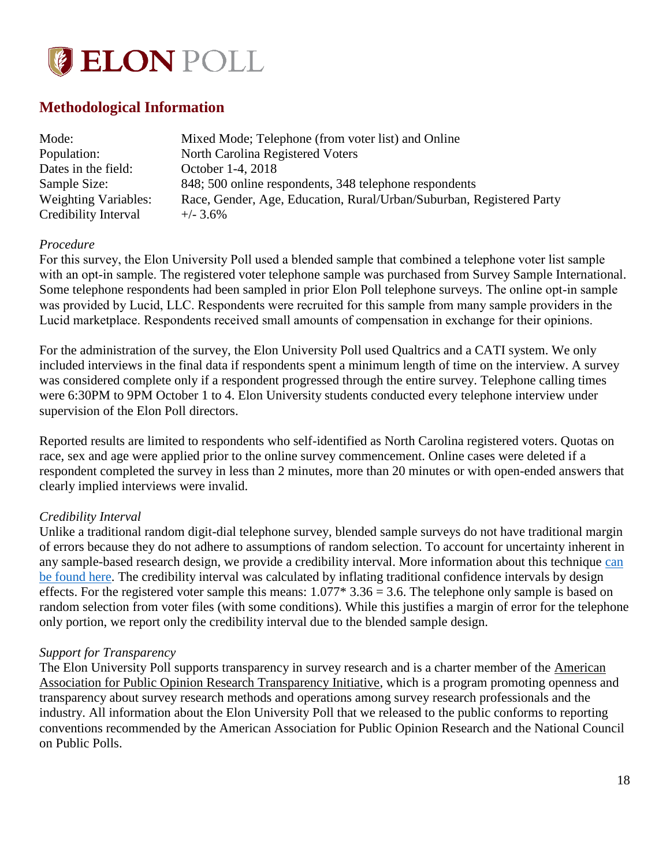

# <span id="page-18-0"></span>**Methodological Information**

| Mode:                       | Mixed Mode; Telephone (from voter list) and Online                   |
|-----------------------------|----------------------------------------------------------------------|
| Population:                 | North Carolina Registered Voters                                     |
| Dates in the field:         | October 1-4, 2018                                                    |
| Sample Size:                | 848; 500 online respondents, 348 telephone respondents               |
| <b>Weighting Variables:</b> | Race, Gender, Age, Education, Rural/Urban/Suburban, Registered Party |
| Credibility Interval        | $+/- 3.6\%$                                                          |

#### *Procedure*

For this survey, the Elon University Poll used a blended sample that combined a telephone voter list sample with an opt-in sample. The registered voter telephone sample was purchased from Survey Sample International. Some telephone respondents had been sampled in prior Elon Poll telephone surveys. The online opt-in sample was provided by Lucid, LLC. Respondents were recruited for this sample from many sample providers in the Lucid marketplace. Respondents received small amounts of compensation in exchange for their opinions.

For the administration of the survey, the Elon University Poll used Qualtrics and a CATI system. We only included interviews in the final data if respondents spent a minimum length of time on the interview. A survey was considered complete only if a respondent progressed through the entire survey. Telephone calling times were 6:30PM to 9PM October 1 to 4. Elon University students conducted every telephone interview under supervision of the Elon Poll directors.

Reported results are limited to respondents who self-identified as North Carolina registered voters. Quotas on race, sex and age were applied prior to the online survey commencement. Online cases were deleted if a respondent completed the survey in less than 2 minutes, more than 20 minutes or with open-ended answers that clearly implied interviews were invalid.

#### *Credibility Interval*

Unlike a traditional random digit-dial telephone survey, blended sample surveys do not have traditional margin of errors because they do not adhere to assumptions of random selection. To account for uncertainty inherent in any sample-based research design, we provide a credibility interval. More information about this technique [can](https://www.aapor.org/Education-Resources/Election-Polling-Resources/Margin-of-Sampling-Error-Credibility-Interval.aspx)  [be found here.](https://www.aapor.org/Education-Resources/Election-Polling-Resources/Margin-of-Sampling-Error-Credibility-Interval.aspx) The credibility interval was calculated by inflating traditional confidence intervals by design effects. For the registered voter sample this means:  $1.077*3.36 = 3.6$ . The telephone only sample is based on random selection from voter files (with some conditions). While this justifies a margin of error for the telephone only portion, we report only the credibility interval due to the blended sample design.

#### *Support for Transparency*

The Elon University Poll supports transparency in survey research and is a charter member of the American Association for Public Opinion Research Transparency Initiative, which is a program promoting openness and transparency about survey research methods and operations among survey research professionals and the industry. All information about the Elon University Poll that we released to the public conforms to reporting conventions recommended by the American Association for Public Opinion Research and the National Council on Public Polls.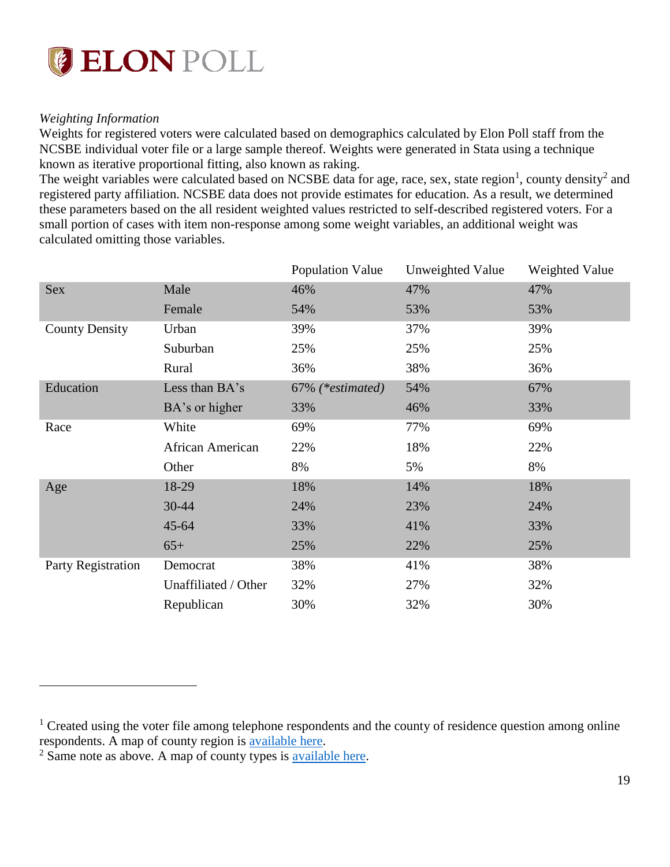

#### *Weighting Information*

<span id="page-19-0"></span> $\overline{a}$ 

Weights for registered voters were calculated based on demographics calculated by Elon Poll staff from the NCSBE individual voter file or a large sample thereof. Weights were generated in Stata using a technique known as iterative proportional fitting, also known as raking.

The weight variables were calculated based on NCSBE data for age, race, sex, state region<sup>1</sup>, county density<sup>2</sup> and registered party affiliation. NCSBE data does not provide estimates for education. As a result, we determined these parameters based on the all resident weighted values restricted to self-described registered voters. For a small portion of cases with item non-response among some weight variables, an additional weight was calculated omitting those variables.

|                       |                      | Population Value | Unweighted Value | Weighted Value |
|-----------------------|----------------------|------------------|------------------|----------------|
| <b>Sex</b>            | Male                 | 46%              | 47%              | 47%            |
|                       | Female               | 54%              | 53%              | 53%            |
| <b>County Density</b> | Urban                | 39%              | 37%              | 39%            |
|                       | Suburban             | 25%              | 25%              | 25%            |
|                       | Rural                | 36%              | 38%              | 36%            |
| Education             | Less than BA's       | 67% (*estimated) | 54%              | 67%            |
|                       | BA's or higher       | 33%              | 46%              | 33%            |
| Race                  | White                | 69%              | 77%              | 69%            |
|                       | African American     | 22%              | 18%              | 22%            |
|                       | Other                | 8%               | 5%               | 8%             |
| Age                   | 18-29                | 18%              | 14%              | 18%            |
|                       | 30-44                | 24%              | 23%              | 24%            |
|                       | $45 - 64$            | 33%              | 41%              | 33%            |
|                       | $65+$                | 25%              | 22%              | 25%            |
| Party Registration    | Democrat             | 38%              | 41%              | 38%            |
|                       | Unaffiliated / Other | 32%              | 27%              | 32%            |
|                       | Republican           | 30%              | 32%              | 30%            |

<sup>&</sup>lt;sup>1</sup> Created using the voter file among telephone respondents and the county of residence question among online respondents. A map of county region is [available here.](https://www.ncpedia.org/sites/default/files/nc_counties.png)

<sup>2</sup> Same note as above. A map of county types is [available here.](https://www.ncruralcenter.org/about-us/)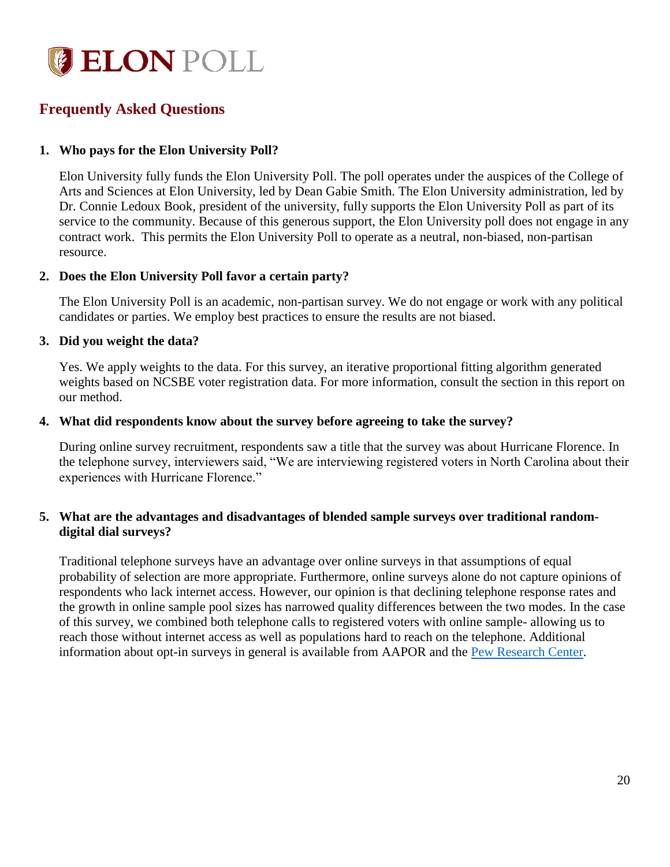

# **Frequently Asked Questions**

### **1. Who pays for the Elon University Poll?**

Elon University fully funds the Elon University Poll. The poll operates under the auspices of the College of Arts and Sciences at Elon University, led by Dean Gabie Smith. The Elon University administration, led by Dr. Connie Ledoux Book, president of the university, fully supports the Elon University Poll as part of its service to the community. Because of this generous support, the Elon University poll does not engage in any contract work. This permits the Elon University Poll to operate as a neutral, non-biased, non-partisan resource.

#### **2. Does the Elon University Poll favor a certain party?**

The Elon University Poll is an academic, non-partisan survey. We do not engage or work with any political candidates or parties. We employ best practices to ensure the results are not biased.

#### **3. Did you weight the data?**

Yes. We apply weights to the data. For this survey, an iterative proportional fitting algorithm generated weights based on NCSBE voter registration data. For more information, consult the section in this report on our method.

#### **4. What did respondents know about the survey before agreeing to take the survey?**

During online survey recruitment, respondents saw a title that the survey was about Hurricane Florence. In the telephone survey, interviewers said, "We are interviewing registered voters in North Carolina about their experiences with Hurricane Florence."

### **5. What are the advantages and disadvantages of blended sample surveys over traditional randomdigital dial surveys?**

Traditional telephone surveys have an advantage over online surveys in that assumptions of equal probability of selection are more appropriate. Furthermore, online surveys alone do not capture opinions of respondents who lack internet access. However, our opinion is that declining telephone response rates and the growth in online sample pool sizes has narrowed quality differences between the two modes. In the case of this survey, we combined both telephone calls to registered voters with online sample- allowing us to reach those without internet access as well as populations hard to reach on the telephone. Additional information about opt-in surveys in general is available from AAPOR and the [Pew Research Center.](http://www.pewresearch.org/fact-tank/2018/08/06/what-are-nonprobability-surveys/)